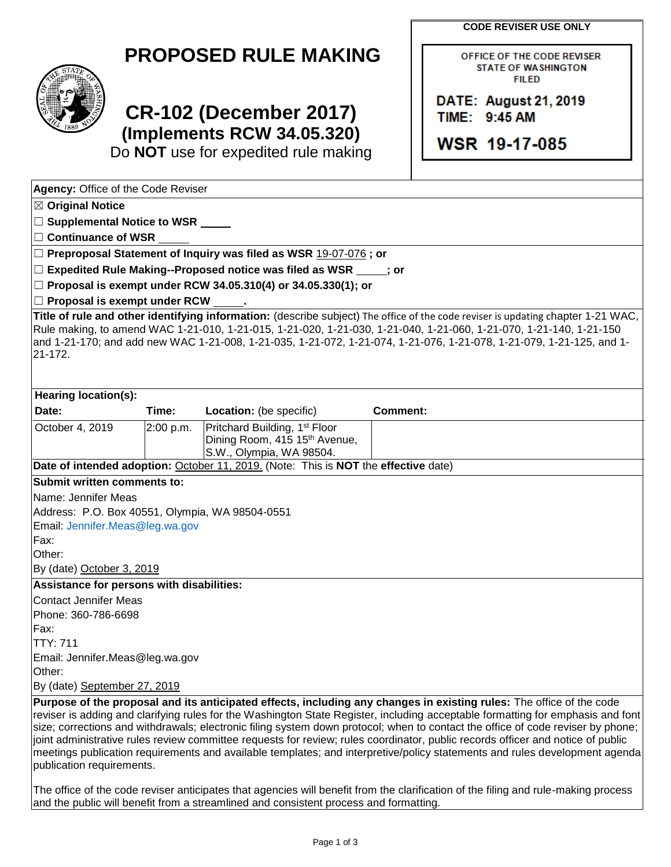**CODE REVISER USE ONLY**

| <b>PROPOSED RULE MAKING</b> |  |  |
|-----------------------------|--|--|
|-----------------------------|--|--|



# **CR-102 (December 2017) (Implements RCW 34.05.320)**

Do **NOT** use for expedited rule making

| OFFICE OF THE CODE REVISER |  |  |  |
|----------------------------|--|--|--|
| <b>STATE OF WASHINGTON</b> |  |  |  |
| <b>FILED</b>               |  |  |  |

DATE: August 21, 2019 TIME: 9:45 AM

WSR 19-17-085

| Agency: Office of the Code Reviser                                                                                                                                                                                                                                                                                                                                                                                                                                                                                                                                                                                                                                                       |           |                                                                                                                 |                 |  |  |
|------------------------------------------------------------------------------------------------------------------------------------------------------------------------------------------------------------------------------------------------------------------------------------------------------------------------------------------------------------------------------------------------------------------------------------------------------------------------------------------------------------------------------------------------------------------------------------------------------------------------------------------------------------------------------------------|-----------|-----------------------------------------------------------------------------------------------------------------|-----------------|--|--|
| $\boxtimes$ Original Notice                                                                                                                                                                                                                                                                                                                                                                                                                                                                                                                                                                                                                                                              |           |                                                                                                                 |                 |  |  |
| □ Supplemental Notice to WSR <u>■ ■ ■</u>                                                                                                                                                                                                                                                                                                                                                                                                                                                                                                                                                                                                                                                |           |                                                                                                                 |                 |  |  |
| $\Box$ Continuance of WSR                                                                                                                                                                                                                                                                                                                                                                                                                                                                                                                                                                                                                                                                |           |                                                                                                                 |                 |  |  |
|                                                                                                                                                                                                                                                                                                                                                                                                                                                                                                                                                                                                                                                                                          |           | $\Box$ Preproposal Statement of Inquiry was filed as WSR 19-07-076; or                                          |                 |  |  |
|                                                                                                                                                                                                                                                                                                                                                                                                                                                                                                                                                                                                                                                                                          |           | $\Box$ Expedited Rule Making--Proposed notice was filed as WSR $\qquad$ ; or                                    |                 |  |  |
|                                                                                                                                                                                                                                                                                                                                                                                                                                                                                                                                                                                                                                                                                          |           | $\Box$ Proposal is exempt under RCW 34.05.310(4) or 34.05.330(1); or                                            |                 |  |  |
| $\Box$ Proposal is exempt under RCW                                                                                                                                                                                                                                                                                                                                                                                                                                                                                                                                                                                                                                                      |           |                                                                                                                 |                 |  |  |
| Title of rule and other identifying information: (describe subject) The office of the code reviser is updating chapter 1-21 WAC,<br>Rule making, to amend WAC 1-21-010, 1-21-015, 1-21-020, 1-21-030, 1-21-040, 1-21-060, 1-21-070, 1-21-140, 1-21-150<br>-1 and 1-21-170; and add new WAC 1-21-008, 1-21-035, 1-21-072, 1-21-074, 1-21-076, 1-21-078, 1-21-079, 1-21-125, and<br>21-172.                                                                                                                                                                                                                                                                                                |           |                                                                                                                 |                 |  |  |
| <b>Hearing location(s):</b>                                                                                                                                                                                                                                                                                                                                                                                                                                                                                                                                                                                                                                                              |           |                                                                                                                 |                 |  |  |
| Date:                                                                                                                                                                                                                                                                                                                                                                                                                                                                                                                                                                                                                                                                                    | Time:     | Location: (be specific)                                                                                         | <b>Comment:</b> |  |  |
| October 4, 2019                                                                                                                                                                                                                                                                                                                                                                                                                                                                                                                                                                                                                                                                          | 2:00 p.m. | Pritchard Building, 1 <sup>st</sup> Floor                                                                       |                 |  |  |
|                                                                                                                                                                                                                                                                                                                                                                                                                                                                                                                                                                                                                                                                                          |           | Dining Room, 415 15th Avenue,                                                                                   |                 |  |  |
|                                                                                                                                                                                                                                                                                                                                                                                                                                                                                                                                                                                                                                                                                          |           | S.W., Olympia, WA 98504.<br>Date of intended adoption: October 11, 2019. (Note: This is NOT the effective date) |                 |  |  |
| Submit written comments to:                                                                                                                                                                                                                                                                                                                                                                                                                                                                                                                                                                                                                                                              |           |                                                                                                                 |                 |  |  |
| Name: Jennifer Meas                                                                                                                                                                                                                                                                                                                                                                                                                                                                                                                                                                                                                                                                      |           |                                                                                                                 |                 |  |  |
| Address: P.O. Box 40551, Olympia, WA 98504-0551                                                                                                                                                                                                                                                                                                                                                                                                                                                                                                                                                                                                                                          |           |                                                                                                                 |                 |  |  |
| Email: Jennifer.Meas@leg.wa.gov                                                                                                                                                                                                                                                                                                                                                                                                                                                                                                                                                                                                                                                          |           |                                                                                                                 |                 |  |  |
| Fax:                                                                                                                                                                                                                                                                                                                                                                                                                                                                                                                                                                                                                                                                                     |           |                                                                                                                 |                 |  |  |
| Other:                                                                                                                                                                                                                                                                                                                                                                                                                                                                                                                                                                                                                                                                                   |           |                                                                                                                 |                 |  |  |
| By (date) October 3, 2019                                                                                                                                                                                                                                                                                                                                                                                                                                                                                                                                                                                                                                                                |           |                                                                                                                 |                 |  |  |
| Assistance for persons with disabilities:                                                                                                                                                                                                                                                                                                                                                                                                                                                                                                                                                                                                                                                |           |                                                                                                                 |                 |  |  |
| Contact Jennifer Meas                                                                                                                                                                                                                                                                                                                                                                                                                                                                                                                                                                                                                                                                    |           |                                                                                                                 |                 |  |  |
| Phone: 360-786-6698                                                                                                                                                                                                                                                                                                                                                                                                                                                                                                                                                                                                                                                                      |           |                                                                                                                 |                 |  |  |
| Fax:                                                                                                                                                                                                                                                                                                                                                                                                                                                                                                                                                                                                                                                                                     |           |                                                                                                                 |                 |  |  |
| <b>TTY: 711</b>                                                                                                                                                                                                                                                                                                                                                                                                                                                                                                                                                                                                                                                                          |           |                                                                                                                 |                 |  |  |
| Email: Jennifer.Meas@leg.wa.gov                                                                                                                                                                                                                                                                                                                                                                                                                                                                                                                                                                                                                                                          |           |                                                                                                                 |                 |  |  |
| Other:                                                                                                                                                                                                                                                                                                                                                                                                                                                                                                                                                                                                                                                                                   |           |                                                                                                                 |                 |  |  |
| By (date) September 27, 2019                                                                                                                                                                                                                                                                                                                                                                                                                                                                                                                                                                                                                                                             |           |                                                                                                                 |                 |  |  |
| Purpose of the proposal and its anticipated effects, including any changes in existing rules: The office of the code<br>reviser is adding and clarifying rules for the Washington State Register, including acceptable formatting for emphasis and font<br>size; corrections and withdrawals; electronic filing system down protocol; when to contact the office of code reviser by phone;<br>joint administrative rules review committee requests for review; rules coordinator, public records officer and notice of public<br>meetings publication requirements and available templates; and interpretive/policy statements and rules development agenda<br>publication requirements. |           |                                                                                                                 |                 |  |  |

The office of the code reviser anticipates that agencies will benefit from the clarification of the filing and rule-making process and the public will benefit from a streamlined and consistent process and formatting.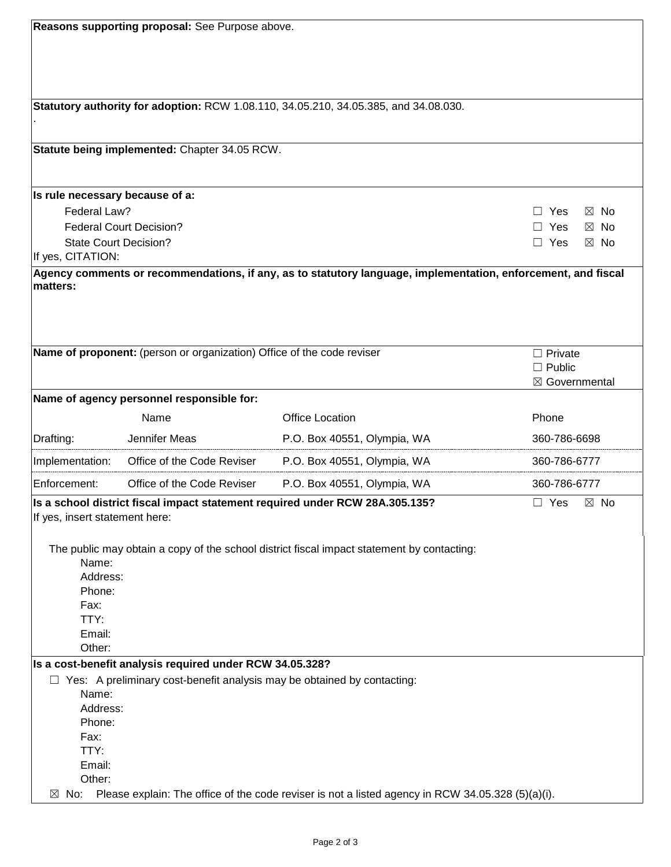| Reasons supporting proposal: See Purpose above.                                |                                                                                                   |                                                                                                               |                              |  |
|--------------------------------------------------------------------------------|---------------------------------------------------------------------------------------------------|---------------------------------------------------------------------------------------------------------------|------------------------------|--|
|                                                                                |                                                                                                   |                                                                                                               |                              |  |
|                                                                                |                                                                                                   |                                                                                                               |                              |  |
|                                                                                |                                                                                                   |                                                                                                               |                              |  |
|                                                                                |                                                                                                   |                                                                                                               |                              |  |
|                                                                                |                                                                                                   | Statutory authority for adoption: RCW 1.08.110, 34.05.210, 34.05.385, and 34.08.030.                          |                              |  |
|                                                                                |                                                                                                   |                                                                                                               |                              |  |
|                                                                                |                                                                                                   |                                                                                                               |                              |  |
|                                                                                | Statute being implemented: Chapter 34.05 RCW.                                                     |                                                                                                               |                              |  |
|                                                                                |                                                                                                   |                                                                                                               |                              |  |
|                                                                                |                                                                                                   |                                                                                                               |                              |  |
| Is rule necessary because of a:                                                |                                                                                                   |                                                                                                               |                              |  |
| Federal Law?                                                                   |                                                                                                   |                                                                                                               | $\Box$ Yes<br>$\boxtimes$ No |  |
|                                                                                | <b>Federal Court Decision?</b>                                                                    |                                                                                                               | Yes<br>$\boxtimes$ No<br>П   |  |
| <b>State Court Decision?</b>                                                   |                                                                                                   |                                                                                                               | $\Box$ Yes<br>$\boxtimes$ No |  |
| If yes, CITATION:                                                              |                                                                                                   |                                                                                                               |                              |  |
|                                                                                |                                                                                                   | Agency comments or recommendations, if any, as to statutory language, implementation, enforcement, and fiscal |                              |  |
| matters:                                                                       |                                                                                                   |                                                                                                               |                              |  |
|                                                                                |                                                                                                   |                                                                                                               |                              |  |
|                                                                                |                                                                                                   |                                                                                                               |                              |  |
|                                                                                |                                                                                                   |                                                                                                               |                              |  |
|                                                                                | Name of proponent: (person or organization) Office of the code reviser                            |                                                                                                               | $\Box$ Private               |  |
|                                                                                |                                                                                                   |                                                                                                               | $\Box$ Public                |  |
|                                                                                |                                                                                                   |                                                                                                               | ⊠ Governmental               |  |
|                                                                                | Name of agency personnel responsible for:                                                         |                                                                                                               |                              |  |
|                                                                                | Name                                                                                              | <b>Office Location</b>                                                                                        | Phone                        |  |
| Drafting:                                                                      | Jennifer Meas                                                                                     | P.O. Box 40551, Olympia, WA                                                                                   | 360-786-6698                 |  |
| Implementation:                                                                | Office of the Code Reviser                                                                        | P.O. Box 40551, Olympia, WA                                                                                   | 360-786-6777                 |  |
| Enforcement:                                                                   | Office of the Code Reviser                                                                        | P.O. Box 40551, Olympia, WA                                                                                   | 360-786-6777                 |  |
|                                                                                |                                                                                                   | Is a school district fiscal impact statement required under RCW 28A.305.135?                                  | $\Box$ Yes<br>$\boxtimes$ No |  |
| If yes, insert statement here:                                                 |                                                                                                   |                                                                                                               |                              |  |
|                                                                                |                                                                                                   |                                                                                                               |                              |  |
|                                                                                |                                                                                                   | The public may obtain a copy of the school district fiscal impact statement by contacting:                    |                              |  |
| Name:                                                                          |                                                                                                   |                                                                                                               |                              |  |
| Address:                                                                       |                                                                                                   |                                                                                                               |                              |  |
| Phone:                                                                         |                                                                                                   |                                                                                                               |                              |  |
| Fax:                                                                           |                                                                                                   |                                                                                                               |                              |  |
| TTY:                                                                           |                                                                                                   |                                                                                                               |                              |  |
| Email:<br>Other:                                                               |                                                                                                   |                                                                                                               |                              |  |
| Is a cost-benefit analysis required under RCW 34.05.328?                       |                                                                                                   |                                                                                                               |                              |  |
| $\Box$ Yes: A preliminary cost-benefit analysis may be obtained by contacting: |                                                                                                   |                                                                                                               |                              |  |
| Name:                                                                          |                                                                                                   |                                                                                                               |                              |  |
| Address:                                                                       |                                                                                                   |                                                                                                               |                              |  |
| Phone:                                                                         |                                                                                                   |                                                                                                               |                              |  |
| Fax:                                                                           |                                                                                                   |                                                                                                               |                              |  |
| TTY:                                                                           |                                                                                                   |                                                                                                               |                              |  |
| Email:                                                                         |                                                                                                   |                                                                                                               |                              |  |
| Other:                                                                         |                                                                                                   |                                                                                                               |                              |  |
| $\boxtimes$ No:                                                                | Please explain: The office of the code reviser is not a listed agency in RCW 34.05.328 (5)(a)(i). |                                                                                                               |                              |  |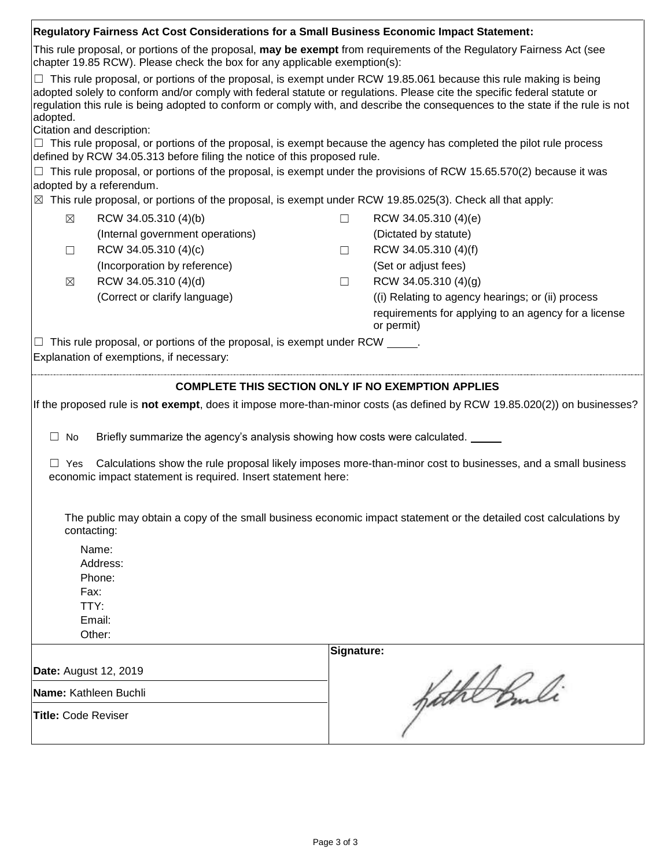| Regulatory Fairness Act Cost Considerations for a Small Business Economic Impact Statement:                                                                                                       |                                                                                                                      |            |                                                                                                                                |  |  |
|---------------------------------------------------------------------------------------------------------------------------------------------------------------------------------------------------|----------------------------------------------------------------------------------------------------------------------|------------|--------------------------------------------------------------------------------------------------------------------------------|--|--|
| This rule proposal, or portions of the proposal, may be exempt from requirements of the Regulatory Fairness Act (see<br>chapter 19.85 RCW). Please check the box for any applicable exemption(s): |                                                                                                                      |            |                                                                                                                                |  |  |
|                                                                                                                                                                                                   |                                                                                                                      |            | $\Box$ This rule proposal, or portions of the proposal, is exempt under RCW 19.85.061 because this rule making is being        |  |  |
|                                                                                                                                                                                                   |                                                                                                                      |            | adopted solely to conform and/or comply with federal statute or regulations. Please cite the specific federal statute or       |  |  |
|                                                                                                                                                                                                   |                                                                                                                      |            | regulation this rule is being adopted to conform or comply with, and describe the consequences to the state if the rule is not |  |  |
| adopted.                                                                                                                                                                                          |                                                                                                                      |            |                                                                                                                                |  |  |
|                                                                                                                                                                                                   | Citation and description:                                                                                            |            | $\Box$ This rule proposal, or portions of the proposal, is exempt because the agency has completed the pilot rule process      |  |  |
|                                                                                                                                                                                                   | defined by RCW 34.05.313 before filing the notice of this proposed rule.                                             |            |                                                                                                                                |  |  |
|                                                                                                                                                                                                   |                                                                                                                      |            | $\Box$ This rule proposal, or portions of the proposal, is exempt under the provisions of RCW 15.65.570(2) because it was      |  |  |
|                                                                                                                                                                                                   | adopted by a referendum.                                                                                             |            |                                                                                                                                |  |  |
|                                                                                                                                                                                                   | $\boxtimes$ This rule proposal, or portions of the proposal, is exempt under RCW 19.85.025(3). Check all that apply: |            |                                                                                                                                |  |  |
| $\boxtimes$                                                                                                                                                                                       | RCW 34.05.310 (4)(b)                                                                                                 | $\Box$     | RCW 34.05.310 (4)(e)                                                                                                           |  |  |
|                                                                                                                                                                                                   |                                                                                                                      |            |                                                                                                                                |  |  |
|                                                                                                                                                                                                   | (Internal government operations)                                                                                     |            | (Dictated by statute)                                                                                                          |  |  |
| $\Box$                                                                                                                                                                                            | RCW 34.05.310 (4)(c)                                                                                                 | $\Box$     | RCW 34.05.310 (4)(f)                                                                                                           |  |  |
|                                                                                                                                                                                                   | (Incorporation by reference)                                                                                         |            | (Set or adjust fees)                                                                                                           |  |  |
| $\boxtimes$                                                                                                                                                                                       | RCW 34.05.310 (4)(d)                                                                                                 | $\Box$     | RCW 34.05.310 (4)(g)                                                                                                           |  |  |
|                                                                                                                                                                                                   | (Correct or clarify language)                                                                                        |            | (i) Relating to agency hearings; or (ii) process                                                                               |  |  |
|                                                                                                                                                                                                   |                                                                                                                      |            | requirements for applying to an agency for a license                                                                           |  |  |
|                                                                                                                                                                                                   |                                                                                                                      |            | or permit)                                                                                                                     |  |  |
|                                                                                                                                                                                                   | This rule proposal, or portions of the proposal, is exempt under RCW _____.                                          |            |                                                                                                                                |  |  |
|                                                                                                                                                                                                   | Explanation of exemptions, if necessary:                                                                             |            |                                                                                                                                |  |  |
|                                                                                                                                                                                                   |                                                                                                                      |            |                                                                                                                                |  |  |
|                                                                                                                                                                                                   |                                                                                                                      |            | <b>COMPLETE THIS SECTION ONLY IF NO EXEMPTION APPLIES</b>                                                                      |  |  |
|                                                                                                                                                                                                   |                                                                                                                      |            | If the proposed rule is not exempt, does it impose more-than-minor costs (as defined by RCW 19.85.020(2)) on businesses?       |  |  |
| $\Box$ No                                                                                                                                                                                         | Briefly summarize the agency's analysis showing how costs were calculated.                                           |            |                                                                                                                                |  |  |
|                                                                                                                                                                                                   |                                                                                                                      |            |                                                                                                                                |  |  |
| $\Box$ Yes                                                                                                                                                                                        |                                                                                                                      |            | Calculations show the rule proposal likely imposes more-than-minor cost to businesses, and a small business                    |  |  |
|                                                                                                                                                                                                   | economic impact statement is required. Insert statement here:                                                        |            |                                                                                                                                |  |  |
|                                                                                                                                                                                                   |                                                                                                                      |            |                                                                                                                                |  |  |
|                                                                                                                                                                                                   |                                                                                                                      |            |                                                                                                                                |  |  |
|                                                                                                                                                                                                   | contacting:                                                                                                          |            | The public may obtain a copy of the small business economic impact statement or the detailed cost calculations by              |  |  |
|                                                                                                                                                                                                   |                                                                                                                      |            |                                                                                                                                |  |  |
|                                                                                                                                                                                                   | Name:                                                                                                                |            |                                                                                                                                |  |  |
|                                                                                                                                                                                                   | Address:                                                                                                             |            |                                                                                                                                |  |  |
|                                                                                                                                                                                                   | Phone:                                                                                                               |            |                                                                                                                                |  |  |
| Fax:<br>TTY:                                                                                                                                                                                      |                                                                                                                      |            |                                                                                                                                |  |  |
|                                                                                                                                                                                                   |                                                                                                                      |            |                                                                                                                                |  |  |
|                                                                                                                                                                                                   | Email:                                                                                                               |            |                                                                                                                                |  |  |
|                                                                                                                                                                                                   | Other:                                                                                                               |            |                                                                                                                                |  |  |
|                                                                                                                                                                                                   |                                                                                                                      | Signature: |                                                                                                                                |  |  |
| Date: August 12, 2019                                                                                                                                                                             |                                                                                                                      |            |                                                                                                                                |  |  |
|                                                                                                                                                                                                   |                                                                                                                      |            |                                                                                                                                |  |  |
| Name: Kathleen Buchli                                                                                                                                                                             |                                                                                                                      | fathe Buli |                                                                                                                                |  |  |
| <b>Title: Code Reviser</b>                                                                                                                                                                        |                                                                                                                      |            |                                                                                                                                |  |  |
|                                                                                                                                                                                                   |                                                                                                                      |            |                                                                                                                                |  |  |
|                                                                                                                                                                                                   |                                                                                                                      |            |                                                                                                                                |  |  |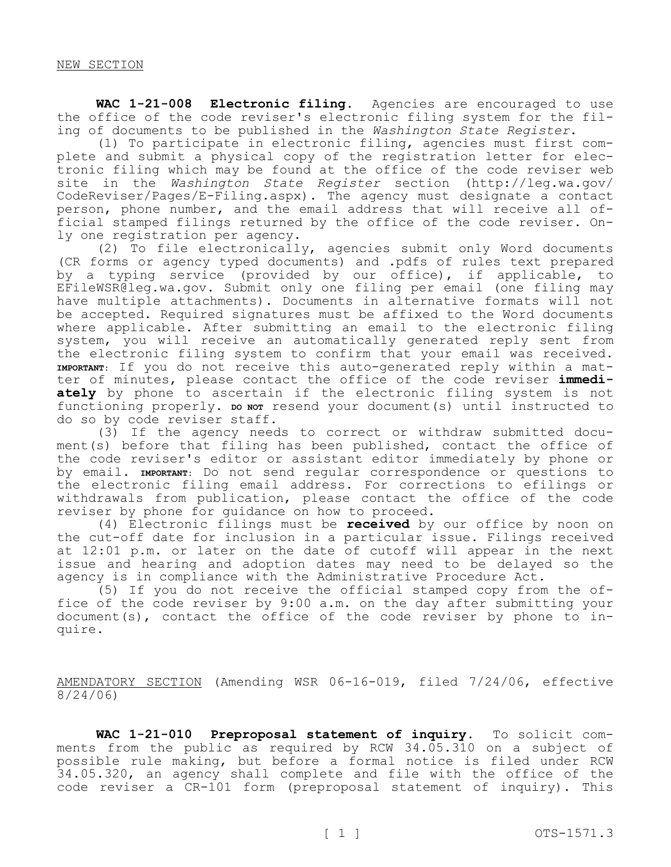**WAC 1-21-008 Electronic filing.** Agencies are encouraged to use the office of the code reviser's electronic filing system for the filing of documents to be published in the *Washington State Register*.

(1) To participate in electronic filing, agencies must first complete and submit a physical copy of the registration letter for electronic filing which may be found at the office of the code reviser web site in the *Washington State Register* section (http://leg.wa.gov/ CodeReviser/Pages/E-Filing.aspx). The agency must designate a contact person, phone number, and the email address that will receive all official stamped filings returned by the office of the code reviser. Only one registration per agency.

(2) To file electronically, agencies submit only Word documents (CR forms or agency typed documents) and .pdfs of rules text prepared by a typing service (provided by our office), if applicable, to EFileWSR@leg.wa.gov. Submit only one filing per email (one filing may have multiple attachments). Documents in alternative formats will not be accepted. Required signatures must be affixed to the Word documents where applicable. After submitting an email to the electronic filing system, you will receive an automatically generated reply sent from the electronic filing system to confirm that your email was received. **IMPORTANT:** If you do not receive this auto-generated reply within a matter of minutes, please contact the office of the code reviser **immediately** by phone to ascertain if the electronic filing system is not functioning properly. **DO NOT** resend your document(s) until instructed to do so by code reviser staff.

(3) If the agency needs to correct or withdraw submitted document(s) before that filing has been published, contact the office of the code reviser's editor or assistant editor immediately by phone or by email. **IMPORTANT:** Do not send regular correspondence or questions to the electronic filing email address. For corrections to efilings or withdrawals from publication, please contact the office of the code reviser by phone for guidance on how to proceed.

(4) Electronic filings must be **received** by our office by noon on the cut-off date for inclusion in a particular issue. Filings received at 12:01 p.m. or later on the date of cutoff will appear in the next issue and hearing and adoption dates may need to be delayed so the agency is in compliance with the Administrative Procedure Act.

(5) If you do not receive the official stamped copy from the office of the code reviser by 9:00 a.m. on the day after submitting your document(s), contact the office of the code reviser by phone to inquire.

AMENDATORY SECTION (Amending WSR 06-16-019, filed 7/24/06, effective 8/24/06)

**WAC 1-21-010 Preproposal statement of inquiry.** To solicit comments from the public as required by RCW 34.05.310 on a subject of possible rule making, but before a formal notice is filed under RCW 34.05.320, an agency shall complete and file with the office of the code reviser a CR-101 form (preproposal statement of inquiry). This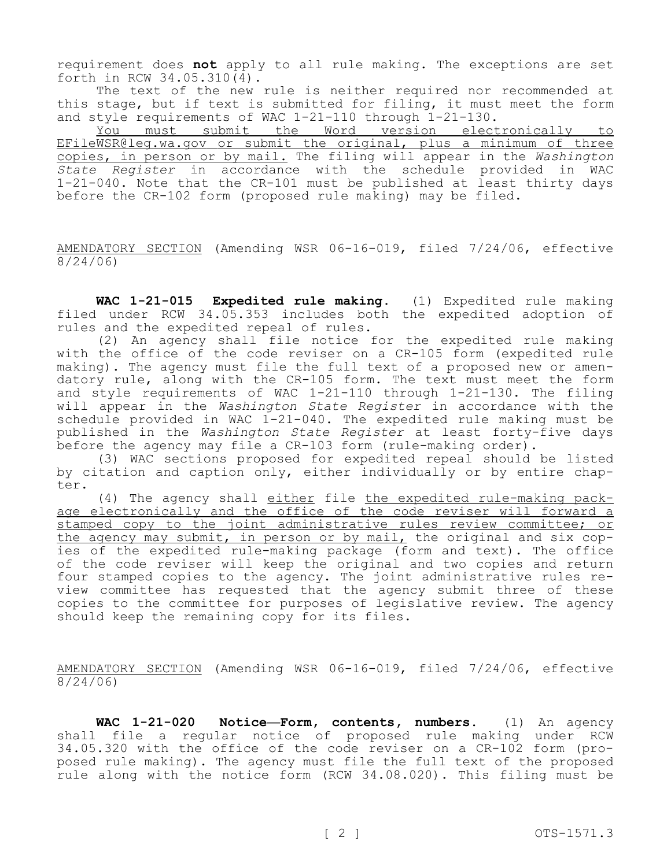requirement does **not** apply to all rule making. The exceptions are set forth in RCW 34.05.310(4).

The text of the new rule is neither required nor recommended at this stage, but if text is submitted for filing, it must meet the form and style requirements of WAC 1-21-110 through 1-21-130.

You must submit the Word version electronically to EFileWSR@leg.wa.gov or submit the original, plus a minimum of three copies, in person or by mail. The filing will appear in the *Washington State Register* in accordance with the schedule provided in WAC 1-21-040. Note that the CR-101 must be published at least thirty days before the CR-102 form (proposed rule making) may be filed.

AMENDATORY SECTION (Amending WSR 06-16-019, filed 7/24/06, effective 8/24/06)

**WAC 1-21-015 Expedited rule making.** (1) Expedited rule making filed under RCW 34.05.353 includes both the expedited adoption of rules and the expedited repeal of rules.

(2) An agency shall file notice for the expedited rule making with the office of the code reviser on a CR-105 form (expedited rule making). The agency must file the full text of a proposed new or amendatory rule, along with the CR-105 form. The text must meet the form and style requirements of WAC 1-21-110 through 1-21-130. The filing will appear in the *Washington State Register* in accordance with the schedule provided in WAC 1-21-040. The expedited rule making must be published in the *Washington State Register* at least forty-five days before the agency may file a CR-103 form (rule-making order).

(3) WAC sections proposed for expedited repeal should be listed by citation and caption only, either individually or by entire chapter.

(4) The agency shall either file the expedited rule-making package electronically and the office of the code reviser will forward a stamped copy to the joint administrative rules review committee; or the agency may submit, in person or by mail, the original and six copies of the expedited rule-making package (form and text). The office of the code reviser will keep the original and two copies and return four stamped copies to the agency. The joint administrative rules review committee has requested that the agency submit three of these copies to the committee for purposes of legislative review. The agency should keep the remaining copy for its files.

AMENDATORY SECTION (Amending WSR 06-16-019, filed 7/24/06, effective 8/24/06)

**WAC 1-21-020 Notice—Form, contents, numbers.** (1) An agency shall file a regular notice of proposed rule making under RCW 34.05.320 with the office of the code reviser on a CR-102 form (proposed rule making). The agency must file the full text of the proposed rule along with the notice form (RCW 34.08.020). This filing must be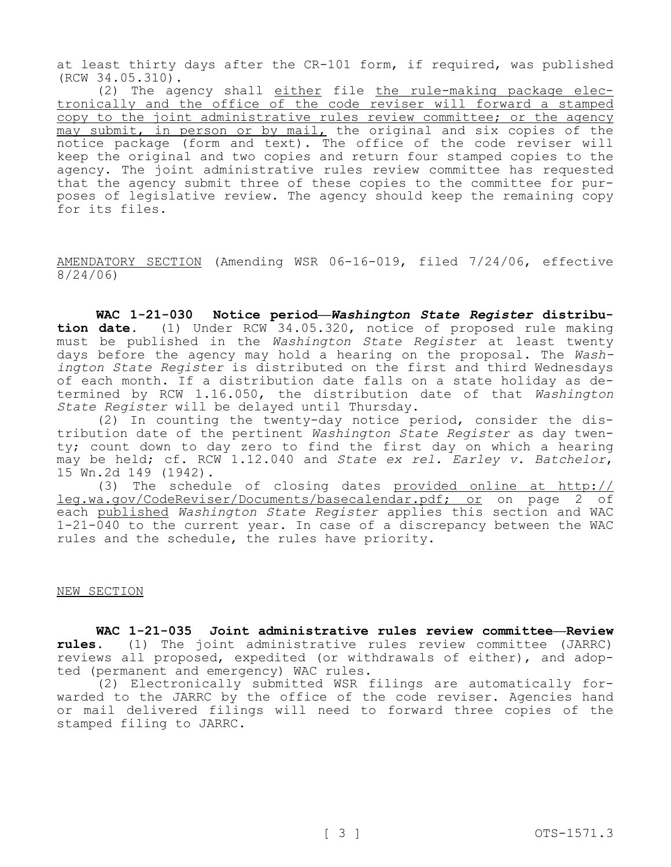at least thirty days after the CR-101 form, if required, was published (RCW 34.05.310).

(2) The agency shall either file the rule-making package electronically and the office of the code reviser will forward a stamped copy to the joint administrative rules review committee; or the agency may submit, in person or by mail, the original and six copies of the notice package (form and text). The office of the code reviser will keep the original and two copies and return four stamped copies to the agency. The joint administrative rules review committee has requested that the agency submit three of these copies to the committee for purposes of legislative review. The agency should keep the remaining copy for its files.

AMENDATORY SECTION (Amending WSR 06-16-019, filed 7/24/06, effective 8/24/06)

**WAC 1-21-030 Notice period—***Washington State Register* **distribution date.** (1) Under RCW 34.05.320, notice of proposed rule making must be published in the *Washington State Register* at least twenty days before the agency may hold a hearing on the proposal. The *Washington State Register* is distributed on the first and third Wednesdays of each month. If a distribution date falls on a state holiday as determined by RCW 1.16.050, the distribution date of that *Washington State Register* will be delayed until Thursday.

(2) In counting the twenty-day notice period, consider the distribution date of the pertinent *Washington State Register* as day twenty; count down to day zero to find the first day on which a hearing may be held; cf. RCW 1.12.040 and *State ex rel. Earley v. Batchelor*, 15 Wn.2d 149 (1942).

(3) The schedule of closing dates provided online at http:// leg.wa.gov/CodeReviser/Documents/basecalendar.pdf; or on page 2 of each published *Washington State Register* applies this section and WAC 1-21-040 to the current year. In case of a discrepancy between the WAC rules and the schedule, the rules have priority.

#### NEW SECTION

**WAC 1-21-035 Joint administrative rules review committee—Review rules.** (1) The joint administrative rules review committee (JARRC) reviews all proposed, expedited (or withdrawals of either), and adopted (permanent and emergency) WAC rules.

(2) Electronically submitted WSR filings are automatically forwarded to the JARRC by the office of the code reviser. Agencies hand or mail delivered filings will need to forward three copies of the stamped filing to JARRC.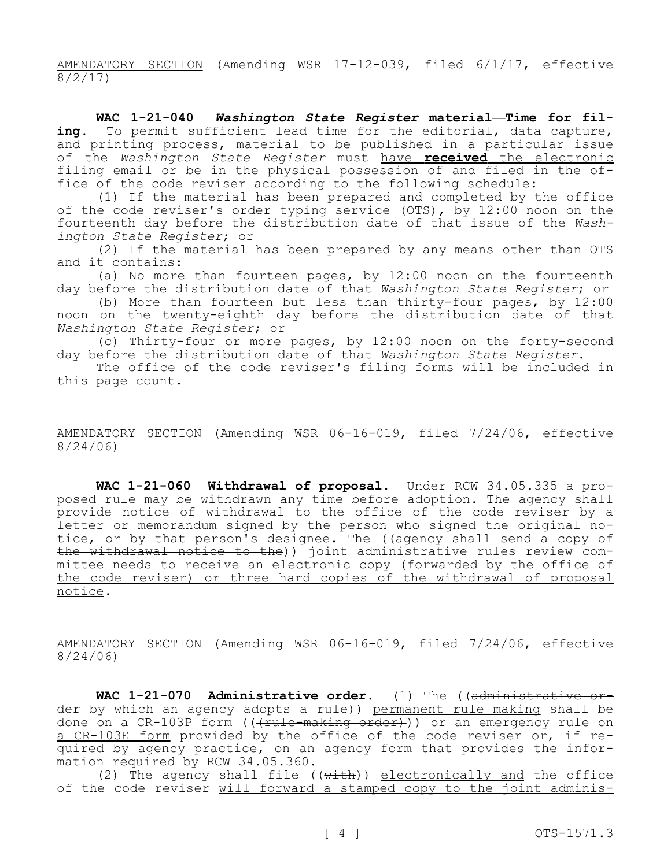AMENDATORY SECTION (Amending WSR 17-12-039, filed 6/1/17, effective 8/2/17)

**WAC 1-21-040** *Washington State Register* **material—Time for filing.** To permit sufficient lead time for the editorial, data capture, and printing process, material to be published in a particular issue of the *Washington State Register* must have **received** the electronic filing email or be in the physical possession of and filed in the office of the code reviser according to the following schedule:

(1) If the material has been prepared and completed by the office of the code reviser's order typing service (OTS), by 12:00 noon on the fourteenth day before the distribution date of that issue of the *Washington State Register*; or

(2) If the material has been prepared by any means other than OTS and it contains:

(a) No more than fourteen pages, by 12:00 noon on the fourteenth day before the distribution date of that *Washington State Register*; or

(b) More than fourteen but less than thirty-four pages, by 12:00 noon on the twenty-eighth day before the distribution date of that *Washington State Register*; or

(c) Thirty-four or more pages, by 12:00 noon on the forty-second day before the distribution date of that *Washington State Register*.

The office of the code reviser's filing forms will be included in this page count.

AMENDATORY SECTION (Amending WSR 06-16-019, filed 7/24/06, effective 8/24/06)

**WAC 1-21-060 Withdrawal of proposal.** Under RCW 34.05.335 a proposed rule may be withdrawn any time before adoption. The agency shall provide notice of withdrawal to the office of the code reviser by a letter or memorandum signed by the person who signed the original notice, or by that person's designee. The ((agency shall send a copy of the withdrawal notice to the)) joint administrative rules review committee needs to receive an electronic copy (forwarded by the office of the code reviser) or three hard copies of the withdrawal of proposal notice.

AMENDATORY SECTION (Amending WSR 06-16-019, filed 7/24/06, effective 8/24/06)

**WAC 1-21-070 Administrative order.** (1) The ((administrative order by which an agency adopts a rule)) permanent rule making shall be done on a CR-103P form ((+rule-making order))) or an emergency rule on a CR-103E form provided by the office of the code reviser or, if required by agency practice, on an agency form that provides the information required by RCW 34.05.360.

(2) The agency shall file (( $\overline{with}$ )) electronically and the office of the code reviser will forward a stamped copy to the joint adminis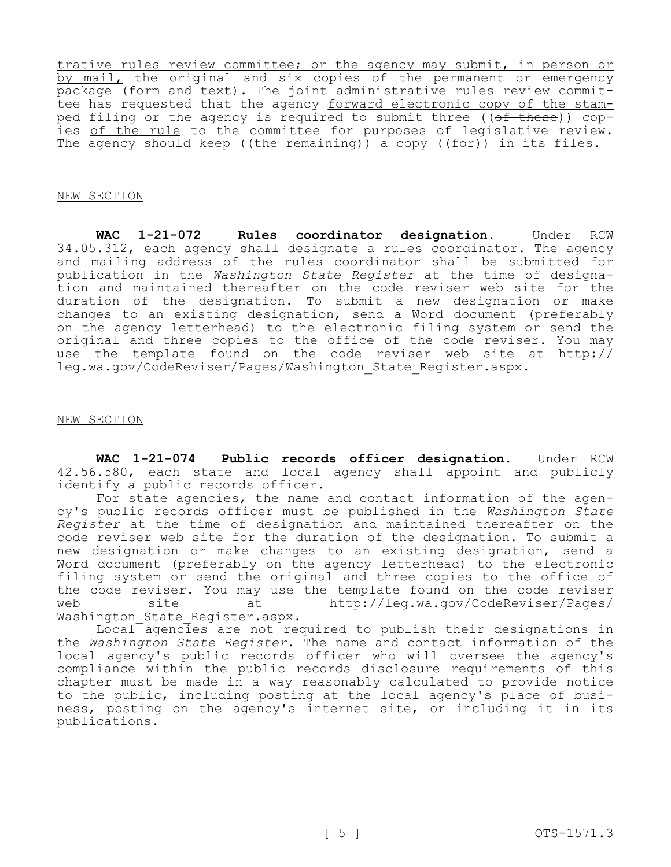trative rules review committee; or the agency may submit, in person or by mail, the original and six copies of the permanent or emergency package (form and text). The joint administrative rules review committee has requested that the agency forward electronic copy of the stamped filing or the agency is required to submit three ((of these)) copies of the rule to the committee for purposes of legislative review. The agency should keep ((the remaining)) a copy (( $f^{\text{def}}$ )) in its files.

## NEW SECTION

**WAC 1-21-072 Rules coordinator designation.** Under RCW 34.05.312, each agency shall designate a rules coordinator. The agency and mailing address of the rules coordinator shall be submitted for publication in the *Washington State Register* at the time of designation and maintained thereafter on the code reviser web site for the duration of the designation. To submit a new designation or make changes to an existing designation, send a Word document (preferably on the agency letterhead) to the electronic filing system or send the original and three copies to the office of the code reviser. You may use the template found on the code reviser web site at http:// leg.wa.gov/CodeReviser/Pages/Washington\_State\_Register.aspx.

## NEW SECTION

**WAC 1-21-074 Public records officer designation.** Under RCW 42.56.580, each state and local agency shall appoint and publicly identify a public records officer.

For state agencies, the name and contact information of the agency's public records officer must be published in the *Washington State Register* at the time of designation and maintained thereafter on the code reviser web site for the duration of the designation. To submit a new designation or make changes to an existing designation, send a Word document (preferably on the agency letterhead) to the electronic filing system or send the original and three copies to the office of the code reviser. You may use the template found on the code reviser<br>web site at http://leg.wa.gov/CodeReviser/Pages/ site at http://leg.wa.gov/CodeReviser/Pages/ Washington State Register.aspx.

Local agencies are not required to publish their designations in the *Washington State Register*. The name and contact information of the local agency's public records officer who will oversee the agency's compliance within the public records disclosure requirements of this chapter must be made in a way reasonably calculated to provide notice to the public, including posting at the local agency's place of business, posting on the agency's internet site, or including it in its publications.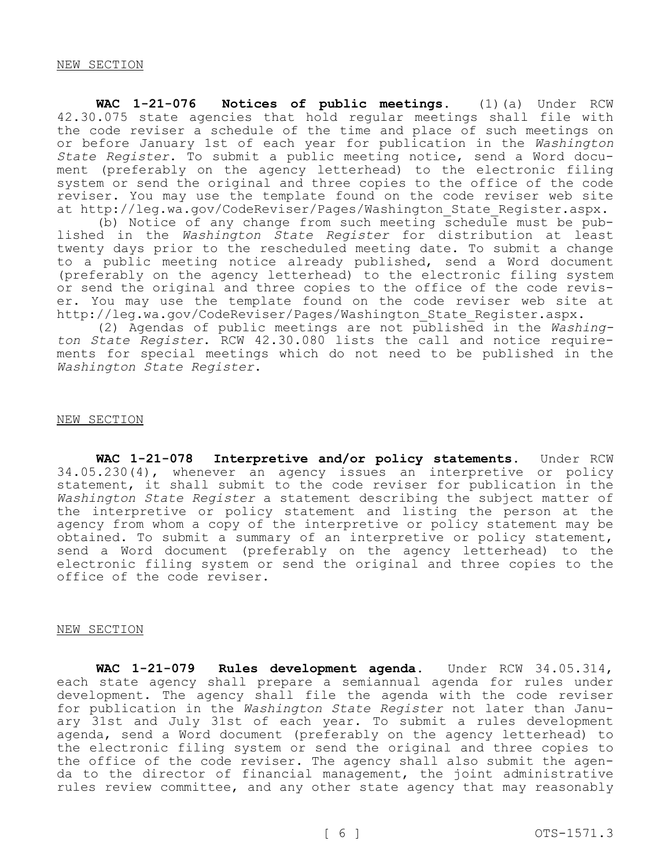**WAC 1-21-076 Notices of public meetings.** (1)(a) Under RCW 42.30.075 state agencies that hold regular meetings shall file with the code reviser a schedule of the time and place of such meetings on or before January 1st of each year for publication in the *Washington State Register*. To submit a public meeting notice, send a Word document (preferably on the agency letterhead) to the electronic filing system or send the original and three copies to the office of the code reviser. You may use the template found on the code reviser web site at http://leg.wa.gov/CodeReviser/Pages/Washington\_State\_Register.aspx.

(b) Notice of any change from such meeting  $\overline{s}$  chedule must be published in the *Washington State Register* for distribution at least twenty days prior to the rescheduled meeting date. To submit a change to a public meeting notice already published, send a Word document (preferably on the agency letterhead) to the electronic filing system or send the original and three copies to the office of the code reviser. You may use the template found on the code reviser web site at http://leg.wa.gov/CodeReviser/Pages/Washington State Register.aspx.

(2) Agendas of public meetings are not published in the *Washington State Register*. RCW 42.30.080 lists the call and notice requirements for special meetings which do not need to be published in the *Washington State Register*.

## NEW SECTION

**WAC 1-21-078 Interpretive and/or policy statements.** Under RCW 34.05.230(4), whenever an agency issues an interpretive or policy statement, it shall submit to the code reviser for publication in the *Washington State Register* a statement describing the subject matter of the interpretive or policy statement and listing the person at the agency from whom a copy of the interpretive or policy statement may be obtained. To submit a summary of an interpretive or policy statement, send a Word document (preferably on the agency letterhead) to the electronic filing system or send the original and three copies to the office of the code reviser.

## NEW SECTION

**WAC 1-21-079 Rules development agenda.** Under RCW 34.05.314, each state agency shall prepare a semiannual agenda for rules under development. The agency shall file the agenda with the code reviser for publication in the *Washington State Register* not later than January 31st and July 31st of each year. To submit a rules development agenda, send a Word document (preferably on the agency letterhead) to the electronic filing system or send the original and three copies to the office of the code reviser. The agency shall also submit the agenda to the director of financial management, the joint administrative rules review committee, and any other state agency that may reasonably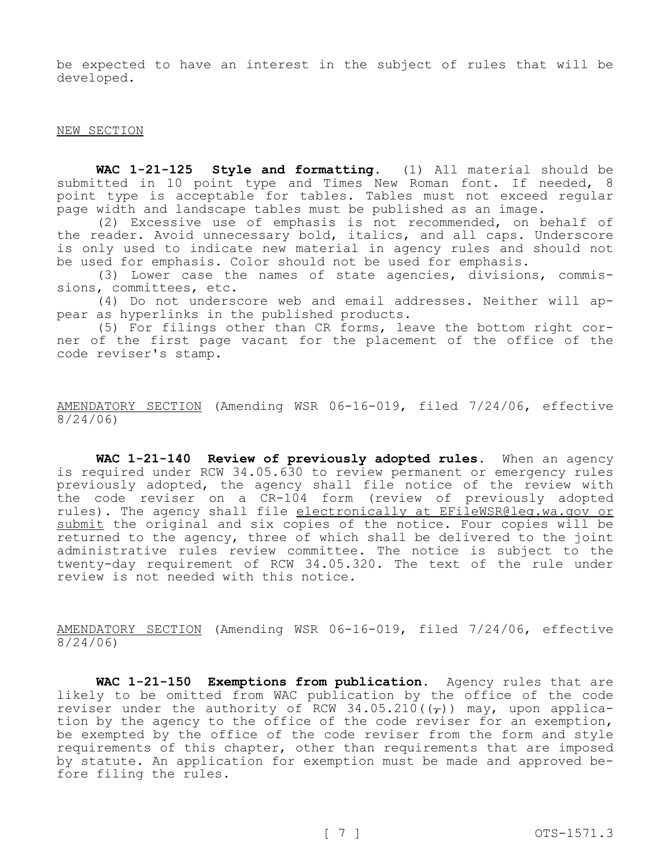be expected to have an interest in the subject of rules that will be developed.

#### NEW SECTION

**WAC 1-21-125 Style and formatting.** (1) All material should be submitted in 10 point type and Times New Roman font. If needed, 8 point type is acceptable for tables. Tables must not exceed regular page width and landscape tables must be published as an image.

(2) Excessive use of emphasis is not recommended, on behalf of the reader. Avoid unnecessary bold, italics, and all caps. Underscore is only used to indicate new material in agency rules and should not be used for emphasis. Color should not be used for emphasis.

(3) Lower case the names of state agencies, divisions, commissions, committees, etc.

(4) Do not underscore web and email addresses. Neither will appear as hyperlinks in the published products.

(5) For filings other than CR forms, leave the bottom right corner of the first page vacant for the placement of the office of the code reviser's stamp.

AMENDATORY SECTION (Amending WSR 06-16-019, filed 7/24/06, effective 8/24/06)

**WAC 1-21-140 Review of previously adopted rules.** When an agency is required under RCW 34.05.630 to review permanent or emergency rules previously adopted, the agency shall file notice of the review with the code reviser on a CR-104 form (review of previously adopted rules). The agency shall file electronically at EFileWSR@leg.wa.gov or submit the original and six copies of the notice. Four copies will be returned to the agency, three of which shall be delivered to the joint administrative rules review committee. The notice is subject to the twenty-day requirement of RCW 34.05.320. The text of the rule under review is not needed with this notice.

AMENDATORY SECTION (Amending WSR 06-16-019, filed 7/24/06, effective 8/24/06)

**WAC 1-21-150 Exemptions from publication.** Agency rules that are likely to be omitted from WAC publication by the office of the code reviser under the authority of RCW 34.05.210( $(\tau)$ ) may, upon application by the agency to the office of the code reviser for an exemption, be exempted by the office of the code reviser from the form and style requirements of this chapter, other than requirements that are imposed by statute. An application for exemption must be made and approved before filing the rules.